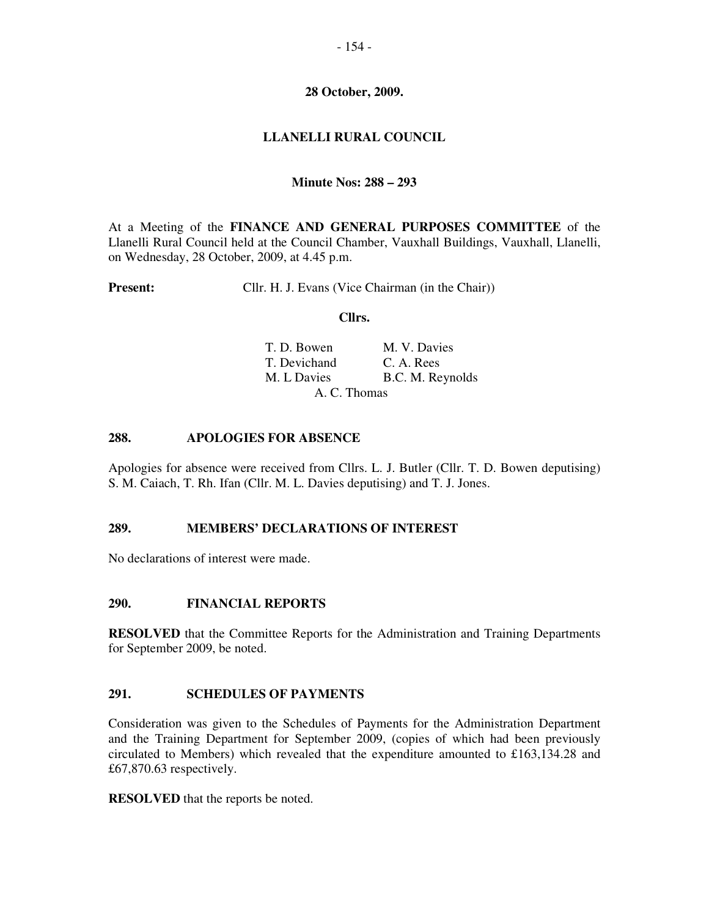## **28 October, 2009.**

# **LLANELLI RURAL COUNCIL**

## **Minute Nos: 288 – 293**

At a Meeting of the **FINANCE AND GENERAL PURPOSES COMMITTEE** of the Llanelli Rural Council held at the Council Chamber, Vauxhall Buildings, Vauxhall, Llanelli, on Wednesday, 28 October, 2009, at 4.45 p.m.

**Present:** Cllr. H. J. Evans (Vice Chairman (in the Chair))

#### **Cllrs.**

| T. D. Bowen  | M. V. Davies     |
|--------------|------------------|
| T. Devichand | C. A. Rees       |
| M. L Davies  | B.C. M. Reynolds |
| A. C. Thomas |                  |

### **288. APOLOGIES FOR ABSENCE**

Apologies for absence were received from Cllrs. L. J. Butler (Cllr. T. D. Bowen deputising) S. M. Caiach, T. Rh. Ifan (Cllr. M. L. Davies deputising) and T. J. Jones.

### **289. MEMBERS' DECLARATIONS OF INTEREST**

No declarations of interest were made.

### **290. FINANCIAL REPORTS**

**RESOLVED** that the Committee Reports for the Administration and Training Departments for September 2009, be noted.

### **291. SCHEDULES OF PAYMENTS**

Consideration was given to the Schedules of Payments for the Administration Department and the Training Department for September 2009, (copies of which had been previously circulated to Members) which revealed that the expenditure amounted to  $£163,134.28$  and £67,870.63 respectively.

**RESOLVED** that the reports be noted.